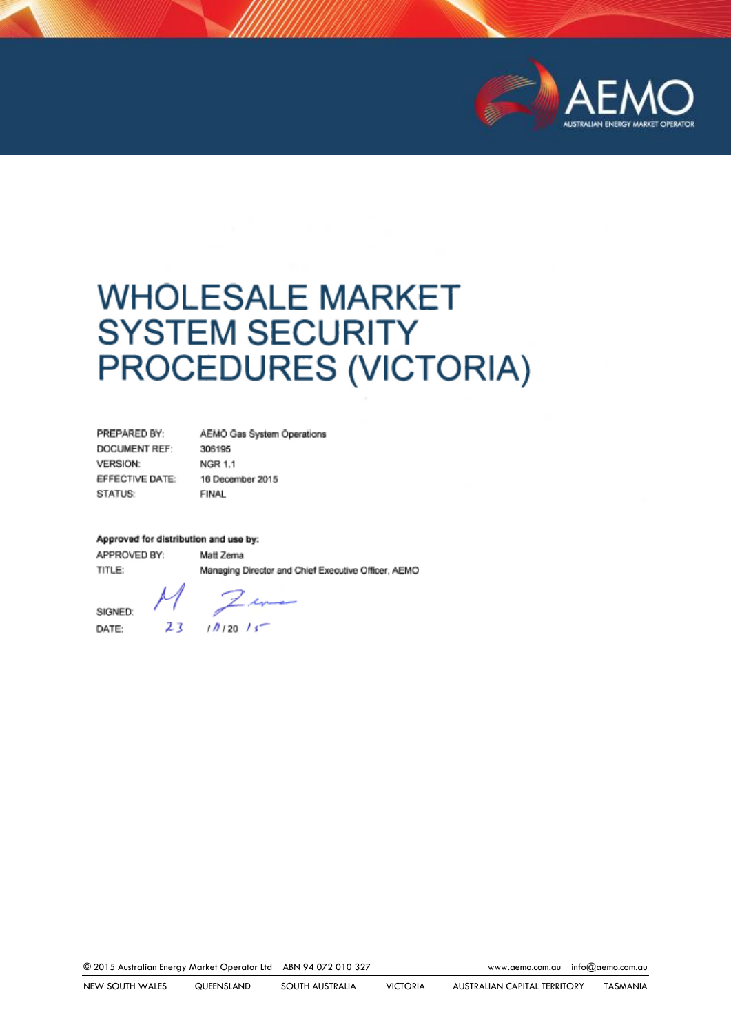

# WHOLESALE MARKET<br>SYSTEM SECURITY PROCEDURES (VICT) PROCEDURES (VICTORIA)

| PREPARED BY:    | AEMO Gas System Operations |
|-----------------|----------------------------|
| DOCUMENT REF:   | 306195                     |
| <b>VERSION:</b> | NGR 1.1                    |
| EFFECTIVE DATE: | 16 December 2015           |
| STATUS:         | FINAL                      |

#### Approved for distribution and use by:

APPROVED BY: TITLE:

**Approved for distribution and use by:**

DATE:

 $M$ SIGNED:  $\blacksquare$  $23$   $1012015$ 

Matt Zema

© 2015 Australian Energy Market Operator Ltd ABN 94 072 010 327 [www.aemo.com.au](http://www.aemo.com.au/) [info@aemo.com.au](mailto:info@aemo.com.au)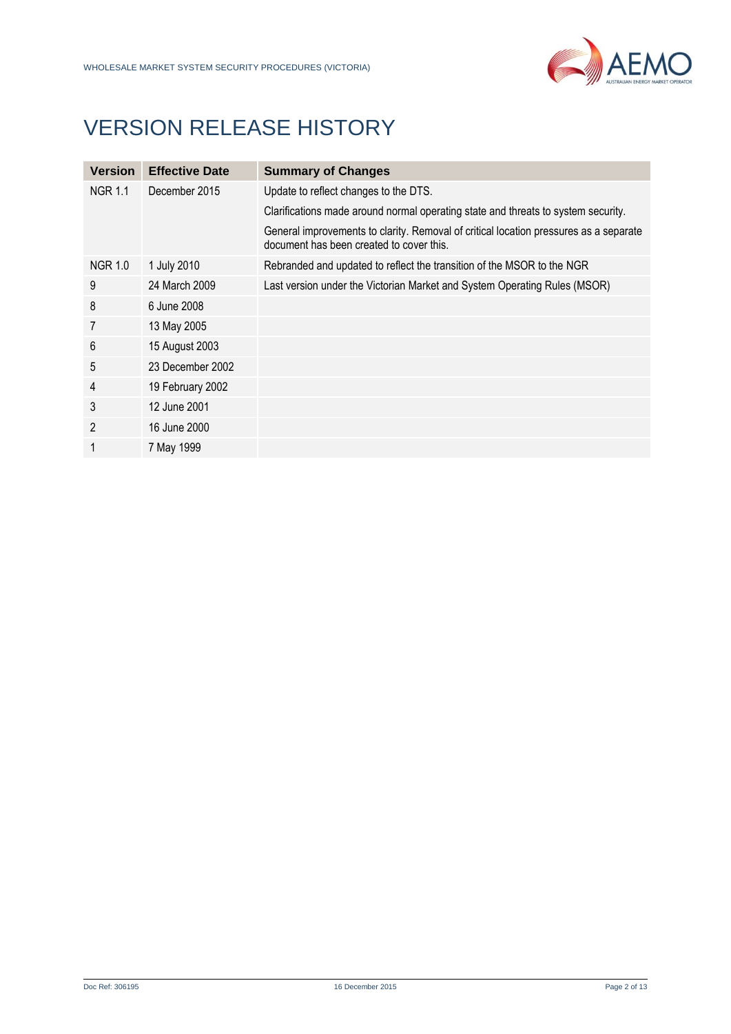# VERSION RELEASE HISTORY

| <b>Version</b> | <b>Effective Date</b> | <b>Summary of Changes</b>                                                                                                         |
|----------------|-----------------------|-----------------------------------------------------------------------------------------------------------------------------------|
| <b>NGR 1.1</b> | December 2015         | Update to reflect changes to the DTS.                                                                                             |
|                |                       | Clarifications made around normal operating state and threats to system security.                                                 |
|                |                       | General improvements to clarity. Removal of critical location pressures as a separate<br>document has been created to cover this. |
| <b>NGR 1.0</b> | 1 July 2010           | Rebranded and updated to reflect the transition of the MSOR to the NGR                                                            |
| 9              | 24 March 2009         | Last version under the Victorian Market and System Operating Rules (MSOR)                                                         |
| 8              | 6 June 2008           |                                                                                                                                   |
| 7              | 13 May 2005           |                                                                                                                                   |
| 6              | 15 August 2003        |                                                                                                                                   |
| 5              | 23 December 2002      |                                                                                                                                   |
| 4              | 19 February 2002      |                                                                                                                                   |
| 3              | 12 June 2001          |                                                                                                                                   |
| $\overline{2}$ | 16 June 2000          |                                                                                                                                   |
|                | 7 May 1999            |                                                                                                                                   |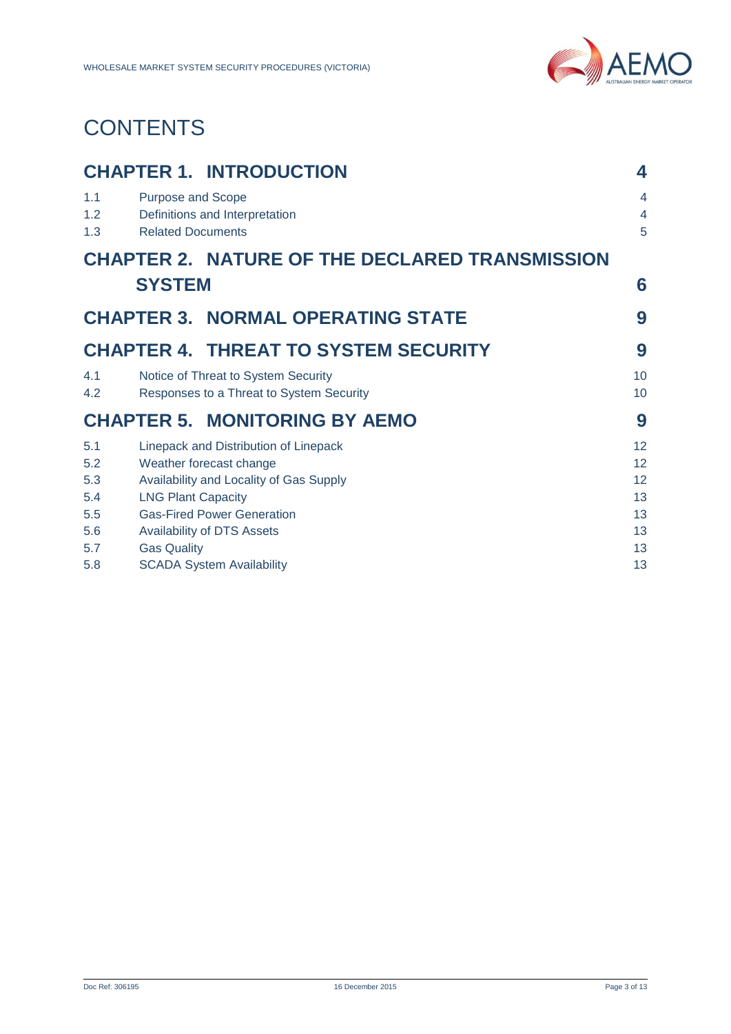

# **CONTENTS**

|                   |                                                      | <b>CHAPTER 1. INTRODUCTION</b>                                                  | 4                                     |
|-------------------|------------------------------------------------------|---------------------------------------------------------------------------------|---------------------------------------|
| 1.1<br>1.2<br>1.3 | <b>Purpose and Scope</b><br><b>Related Documents</b> | Definitions and Interpretation                                                  | $\overline{4}$<br>$\overline{4}$<br>5 |
|                   |                                                      | <b>CHAPTER 2. NATURE OF THE DECLARED TRANSMISSION</b>                           |                                       |
|                   | <b>SYSTEM</b>                                        |                                                                                 | 6                                     |
|                   |                                                      | <b>CHAPTER 3. NORMAL OPERATING STATE</b>                                        | 9                                     |
|                   |                                                      | <b>CHAPTER 4. THREAT TO SYSTEM SECURITY</b>                                     | 9                                     |
| 4.1<br>4.2        |                                                      | Notice of Threat to System Security<br>Responses to a Threat to System Security | 10<br>10                              |
|                   |                                                      | <b>CHAPTER 5. MONITORING BY AEMO</b>                                            | 9                                     |
| 5.1<br>5.2        |                                                      | Linepack and Distribution of Linepack<br>Weather forecast change                | 12<br>12                              |
| 5.3               |                                                      | Availability and Locality of Gas Supply                                         | 12                                    |
| 5.4<br>5.5        | <b>LNG Plant Capacity</b>                            | <b>Gas-Fired Power Generation</b>                                               | 13<br>13                              |
| 5.6<br>5.7        | <b>Gas Quality</b>                                   | <b>Availability of DTS Assets</b>                                               | 13<br>13                              |
| 5.8               |                                                      | <b>SCADA System Availability</b>                                                | 13                                    |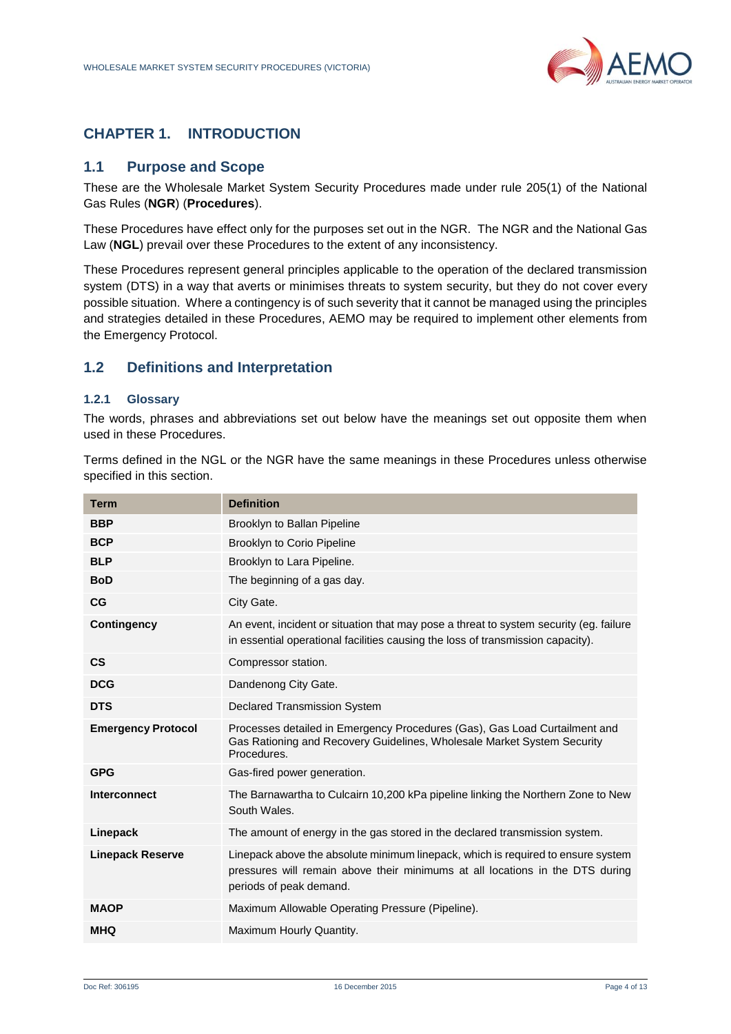

# <span id="page-3-0"></span>**CHAPTER 1. INTRODUCTION**

#### <span id="page-3-1"></span>**1.1 Purpose and Scope**

These are the Wholesale Market System Security Procedures made under rule 205(1) of the National Gas Rules (**NGR**) (**Procedures**).

These Procedures have effect only for the purposes set out in the NGR. The NGR and the National Gas Law (**NGL**) prevail over these Procedures to the extent of any inconsistency.

These Procedures represent general principles applicable to the operation of the declared transmission system (DTS) in a way that averts or minimises threats to system security, but they do not cover every possible situation. Where a contingency is of such severity that it cannot be managed using the principles and strategies detailed in these Procedures, AEMO may be required to implement other elements from the Emergency Protocol.

#### <span id="page-3-2"></span>**1.2 Definitions and Interpretation**

#### **1.2.1 Glossary**

The words, phrases and abbreviations set out below have the meanings set out opposite them when used in these Procedures.

Terms defined in the NGL or the NGR have the same meanings in these Procedures unless otherwise specified in this section.

| <b>Term</b>               | <b>Definition</b>                                                                                                                                                                            |
|---------------------------|----------------------------------------------------------------------------------------------------------------------------------------------------------------------------------------------|
| <b>BBP</b>                | Brooklyn to Ballan Pipeline                                                                                                                                                                  |
| <b>BCP</b>                | <b>Brooklyn to Corio Pipeline</b>                                                                                                                                                            |
| <b>BLP</b>                | Brooklyn to Lara Pipeline.                                                                                                                                                                   |
| <b>BoD</b>                | The beginning of a gas day.                                                                                                                                                                  |
| CG                        | City Gate.                                                                                                                                                                                   |
| <b>Contingency</b>        | An event, incident or situation that may pose a threat to system security (eg. failure<br>in essential operational facilities causing the loss of transmission capacity).                    |
| $\mathsf{cs}$             | Compressor station.                                                                                                                                                                          |
| <b>DCG</b>                | Dandenong City Gate.                                                                                                                                                                         |
| <b>DTS</b>                | <b>Declared Transmission System</b>                                                                                                                                                          |
| <b>Emergency Protocol</b> | Processes detailed in Emergency Procedures (Gas), Gas Load Curtailment and<br>Gas Rationing and Recovery Guidelines, Wholesale Market System Security<br>Procedures.                         |
| <b>GPG</b>                | Gas-fired power generation.                                                                                                                                                                  |
| <b>Interconnect</b>       | The Barnawartha to Culcairn 10,200 kPa pipeline linking the Northern Zone to New<br>South Wales.                                                                                             |
| Linepack                  | The amount of energy in the gas stored in the declared transmission system.                                                                                                                  |
| <b>Linepack Reserve</b>   | Linepack above the absolute minimum linepack, which is required to ensure system<br>pressures will remain above their minimums at all locations in the DTS during<br>periods of peak demand. |
| <b>MAOP</b>               | Maximum Allowable Operating Pressure (Pipeline).                                                                                                                                             |
| <b>MHQ</b>                | Maximum Hourly Quantity.                                                                                                                                                                     |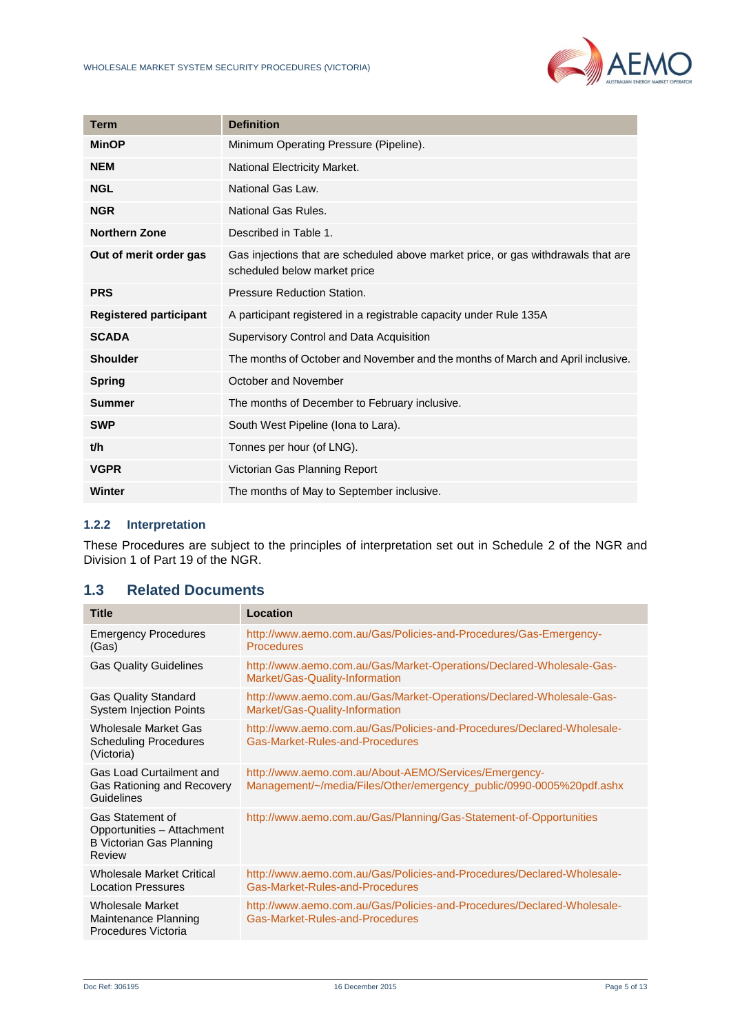

| <b>Term</b>                   | <b>Definition</b>                                                                                                 |
|-------------------------------|-------------------------------------------------------------------------------------------------------------------|
| <b>MinOP</b>                  | Minimum Operating Pressure (Pipeline).                                                                            |
| <b>NEM</b>                    | National Electricity Market.                                                                                      |
| <b>NGL</b>                    | National Gas Law.                                                                                                 |
| <b>NGR</b>                    | National Gas Rules.                                                                                               |
| <b>Northern Zone</b>          | Described in Table 1.                                                                                             |
| Out of merit order gas        | Gas injections that are scheduled above market price, or gas withdrawals that are<br>scheduled below market price |
| <b>PRS</b>                    | Pressure Reduction Station.                                                                                       |
| <b>Registered participant</b> | A participant registered in a registrable capacity under Rule 135A                                                |
| <b>SCADA</b>                  | Supervisory Control and Data Acquisition                                                                          |
| <b>Shoulder</b>               | The months of October and November and the months of March and April inclusive.                                   |
| <b>Spring</b>                 | October and November                                                                                              |
| <b>Summer</b>                 | The months of December to February inclusive.                                                                     |
| <b>SWP</b>                    | South West Pipeline (Iona to Lara).                                                                               |
| t/h                           | Tonnes per hour (of LNG).                                                                                         |
| <b>VGPR</b>                   | Victorian Gas Planning Report                                                                                     |
| Winter                        | The months of May to September inclusive.                                                                         |

#### **1.2.2 Interpretation**

These Procedures are subject to the principles of interpretation set out in Schedule 2 of the NGR and Division 1 of Part 19 of the NGR.

# <span id="page-4-0"></span>**1.3 Related Documents**

| <b>Title</b>                                                                                       | Location                                                                                                                      |
|----------------------------------------------------------------------------------------------------|-------------------------------------------------------------------------------------------------------------------------------|
| <b>Emergency Procedures</b><br>(Gas)                                                               | http://www.aemo.com.au/Gas/Policies-and-Procedures/Gas-Emergency-<br><b>Procedures</b>                                        |
| <b>Gas Quality Guidelines</b>                                                                      | http://www.aemo.com.au/Gas/Market-Operations/Declared-Wholesale-Gas-<br>Market/Gas-Quality-Information                        |
| <b>Gas Quality Standard</b><br><b>System Injection Points</b>                                      | http://www.aemo.com.au/Gas/Market-Operations/Declared-Wholesale-Gas-<br>Market/Gas-Quality-Information                        |
| <b>Wholesale Market Gas</b><br><b>Scheduling Procedures</b><br>(Victoria)                          | http://www.aemo.com.au/Gas/Policies-and-Procedures/Declared-Wholesale-<br>Gas-Market-Rules-and-Procedures                     |
| <b>Gas Load Curtailment and</b><br>Gas Rationing and Recovery<br>Guidelines                        | http://www.aemo.com.au/About-AEMO/Services/Emergency-<br>Management/~/media/Files/Other/emergency_public/0990-0005%20pdf.ashx |
| <b>Gas Statement of</b><br>Opportunities - Attachment<br><b>B Victorian Gas Planning</b><br>Review | http://www.aemo.com.au/Gas/Planning/Gas-Statement-of-Opportunities                                                            |
| <b>Wholesale Market Critical</b><br><b>Location Pressures</b>                                      | http://www.aemo.com.au/Gas/Policies-and-Procedures/Declared-Wholesale-<br>Gas-Market-Rules-and-Procedures                     |
| <b>Wholesale Market</b><br>Maintenance Planning<br>Procedures Victoria                             | http://www.aemo.com.au/Gas/Policies-and-Procedures/Declared-Wholesale-<br>Gas-Market-Rules-and-Procedures                     |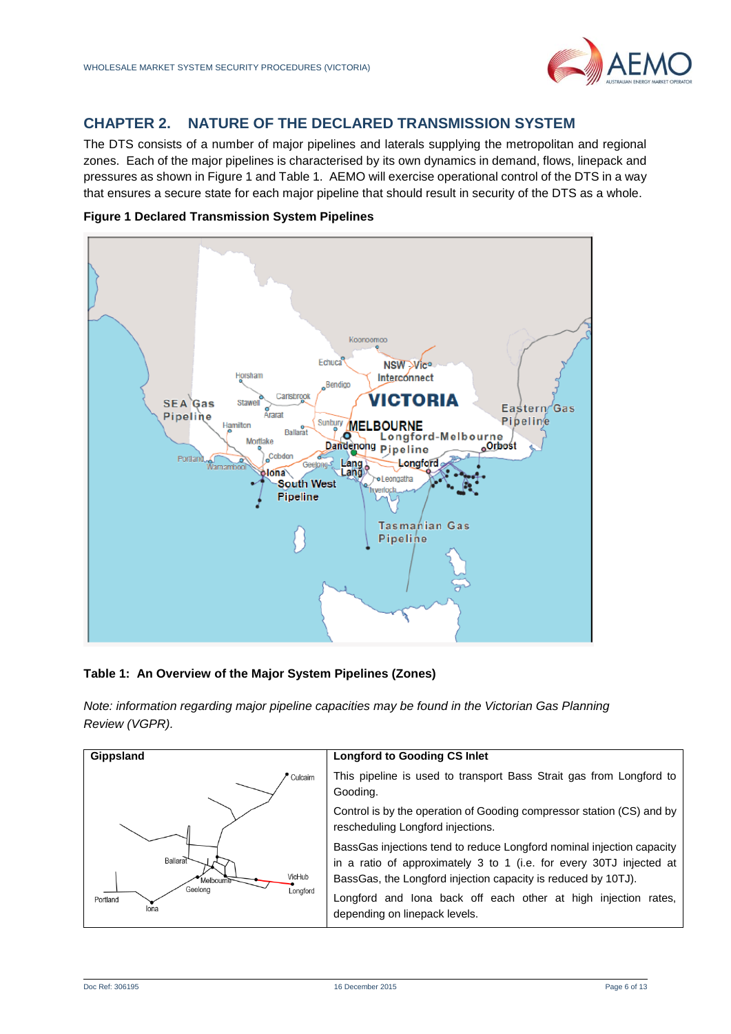

# <span id="page-5-0"></span>**CHAPTER 2. NATURE OF THE DECLARED TRANSMISSION SYSTEM**

The DTS consists of a number of major pipelines and laterals supplying the metropolitan and regional zones. Each of the major pipelines is characterised by its own dynamics in demand, flows, linepack and pressures as shown in Figure 1 and Table 1. AEMO will exercise operational control of the DTS in a way that ensures a secure state for each major pipeline that should result in security of the DTS as a whole.



#### **Figure 1 Declared Transmission System Pipelines**

#### **Table 1: An Overview of the Major System Pipelines (Zones)**

*Note: information regarding major pipeline capacities may be found in the Victorian Gas Planning Review (VGPR).* 

| Gippsland                               | <b>Longford to Gooding CS Inlet</b>                                                                                                                                                                           |
|-----------------------------------------|---------------------------------------------------------------------------------------------------------------------------------------------------------------------------------------------------------------|
| Culcairn                                | This pipeline is used to transport Bass Strait gas from Longford to<br>Gooding.                                                                                                                               |
|                                         | Control is by the operation of Gooding compressor station (CS) and by<br>rescheduling Longford injections.                                                                                                    |
| Ballarat<br>VicHub<br>Melbourne         | BassGas injections tend to reduce Longford nominal injection capacity<br>in a ratio of approximately 3 to 1 (i.e. for every 30TJ injected at<br>BassGas, the Longford injection capacity is reduced by 10TJ). |
| Geelong<br>Longford<br>Portland<br>lona | Longford and lona back off each other at high injection rates,<br>depending on linepack levels.                                                                                                               |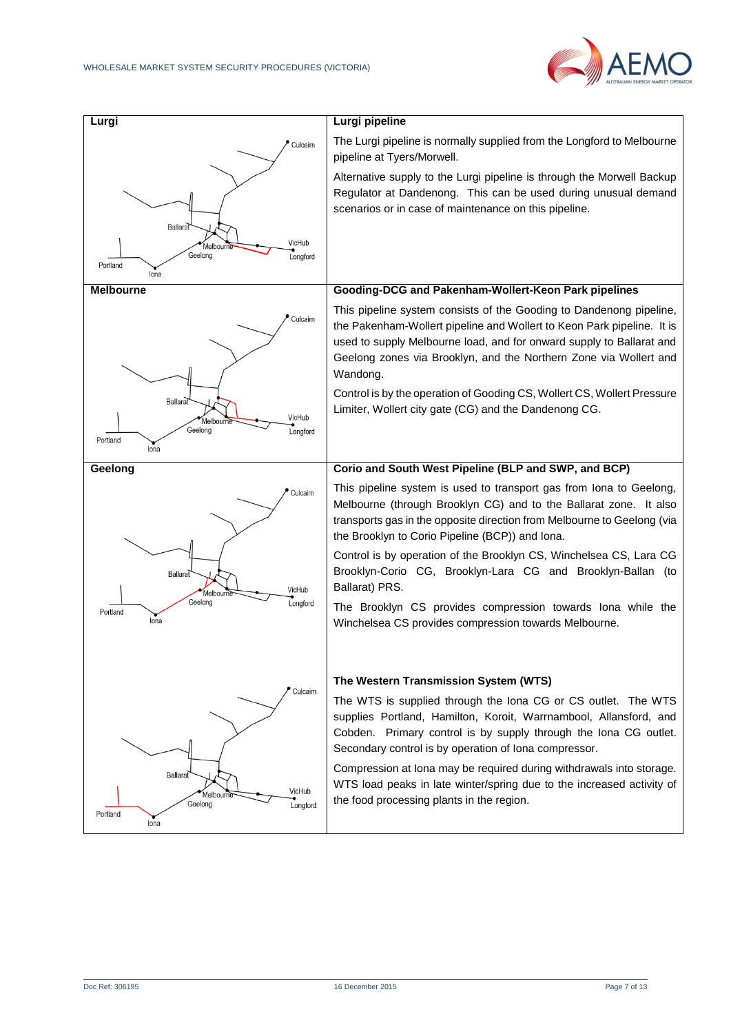

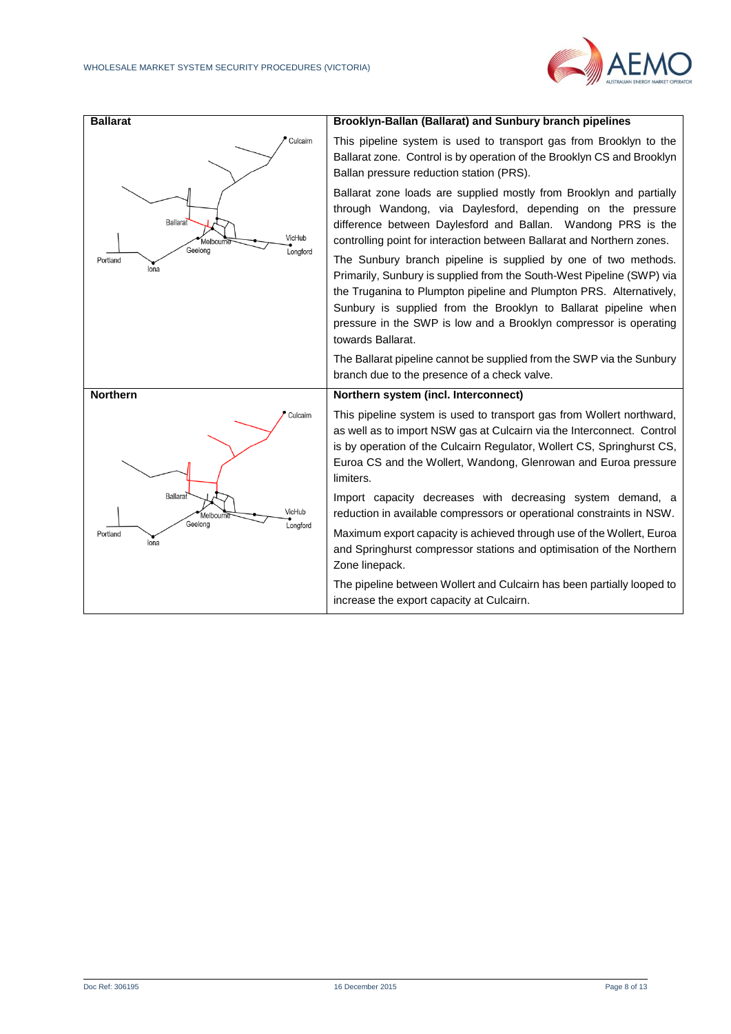

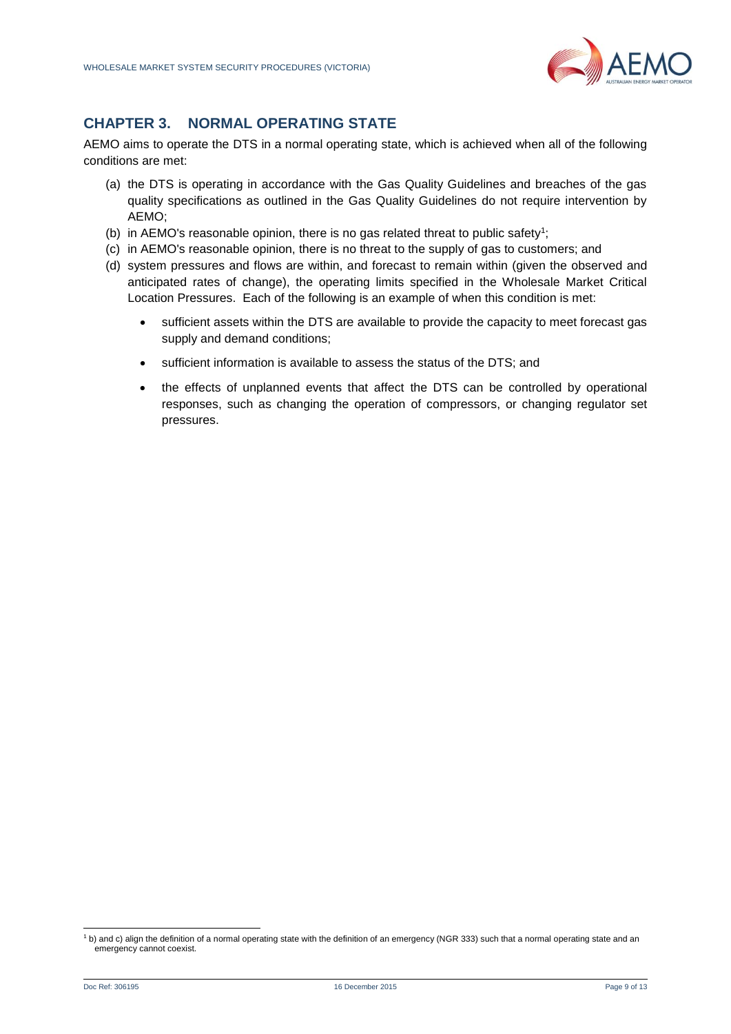

# <span id="page-8-0"></span>**CHAPTER 3. NORMAL OPERATING STATE**

<span id="page-8-1"></span>AEMO aims to operate the DTS in a normal operating state, which is achieved when all of the following conditions are met:

- (a) the DTS is operating in accordance with the Gas Quality Guidelines and breaches of the gas quality specifications as outlined in the Gas Quality Guidelines do not require intervention by AEMO;
- (b) in AEMO's reasonable opinion, there is no gas related threat to public safety<sup>1</sup>;
- (c) in AEMO's reasonable opinion, there is no threat to the supply of gas to customers; and
- (d) system pressures and flows are within, and forecast to remain within (given the observed and anticipated rates of change), the operating limits specified in the Wholesale Market Critical Location Pressures. Each of the following is an example of when this condition is met:
	- sufficient assets within the DTS are available to provide the capacity to meet forecast gas supply and demand conditions;
	- sufficient information is available to assess the status of the DTS; and
	- the effects of unplanned events that affect the DTS can be controlled by operational responses, such as changing the operation of compressors, or changing regulator set pressures.

l

<sup>&</sup>lt;sup>1</sup> b) and c) align the definition of a normal operating state with the definition of an emergency (NGR 333) such that a normal operating state and an emergency cannot coexist.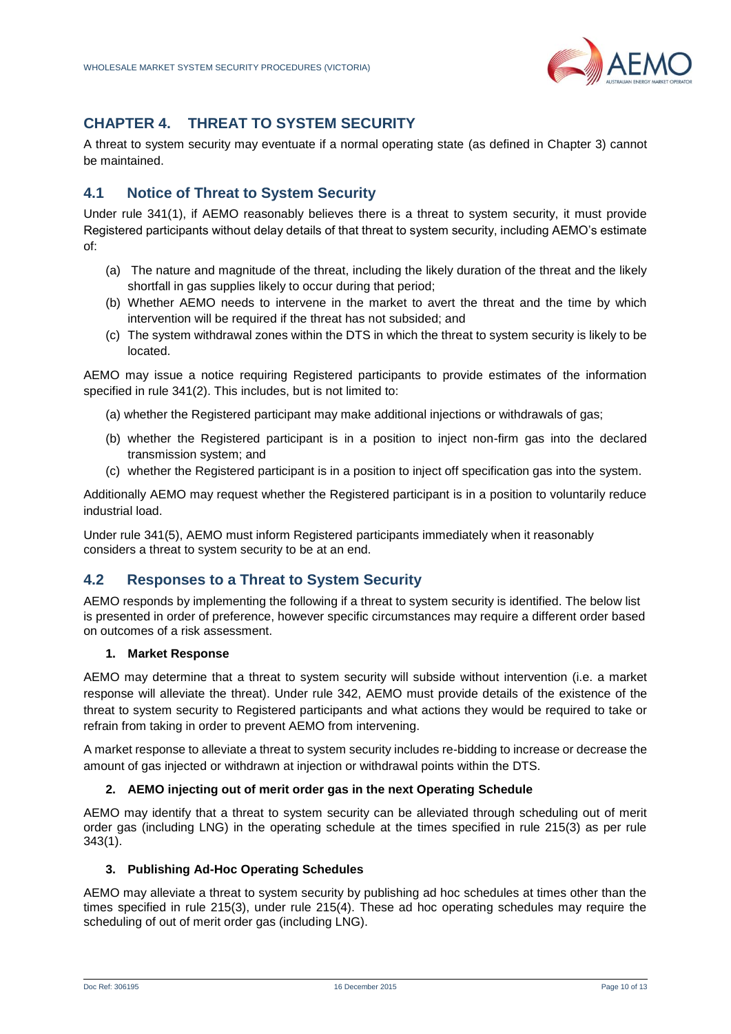

# **CHAPTER 4. THREAT TO SYSTEM SECURITY**

A threat to system security may eventuate if a normal operating state (as defined in [Chapter 3\)](#page-8-0) cannot be maintained.

# <span id="page-9-0"></span>**4.1 Notice of Threat to System Security**

Under rule 341(1), if AEMO reasonably believes there is a threat to system security, it must provide Registered participants without delay details of that threat to system security, including AEMO's estimate of:

- (a) The nature and magnitude of the threat, including the likely duration of the threat and the likely shortfall in gas supplies likely to occur during that period;
- (b) Whether AEMO needs to intervene in the market to avert the threat and the time by which intervention will be required if the threat has not subsided; and
- (c) The system withdrawal zones within the DTS in which the threat to system security is likely to be located.

AEMO may issue a notice requiring Registered participants to provide estimates of the information specified in rule 341(2). This includes, but is not limited to:

- (a) whether the Registered participant may make additional injections or withdrawals of gas;
- (b) whether the Registered participant is in a position to inject non-firm gas into the declared transmission system; and
- (c) whether the Registered participant is in a position to inject off specification gas into the system.

Additionally AEMO may request whether the Registered participant is in a position to voluntarily reduce industrial load.

Under rule 341(5), AEMO must inform Registered participants immediately when it reasonably considers a threat to system security to be at an end.

# <span id="page-9-1"></span>**4.2 Responses to a Threat to System Security**

AEMO responds by implementing the following if a threat to system security is identified. The below list is presented in order of preference, however specific circumstances may require a different order based on outcomes of a risk assessment.

#### **1. Market Response**

AEMO may determine that a threat to system security will subside without intervention (i.e. a market response will alleviate the threat). Under rule 342, AEMO must provide details of the existence of the threat to system security to Registered participants and what actions they would be required to take or refrain from taking in order to prevent AEMO from intervening.

A market response to alleviate a threat to system security includes re-bidding to increase or decrease the amount of gas injected or withdrawn at injection or withdrawal points within the DTS.

#### **2. AEMO injecting out of merit order gas in the next Operating Schedule**

AEMO may identify that a threat to system security can be alleviated through scheduling out of merit order gas (including LNG) in the operating schedule at the times specified in rule 215(3) as per rule 343(1).

#### **3. Publishing Ad-Hoc Operating Schedules**

AEMO may alleviate a threat to system security by publishing ad hoc schedules at times other than the times specified in rule 215(3), under rule 215(4). These ad hoc operating schedules may require the scheduling of out of merit order gas (including LNG).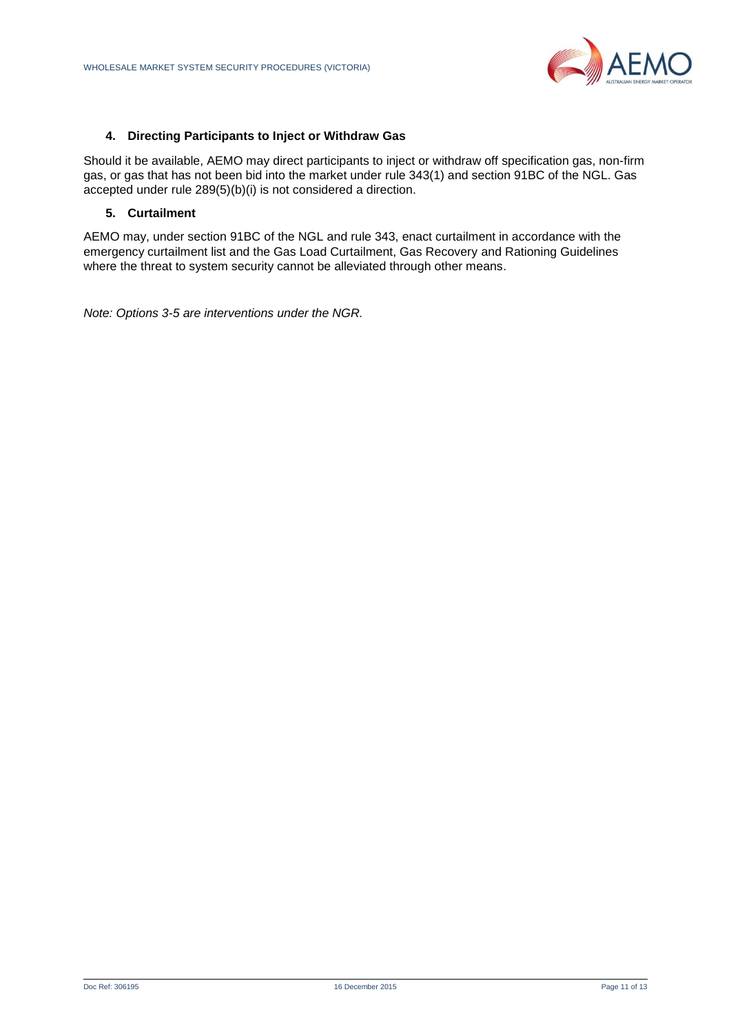

#### **4. Directing Participants to Inject or Withdraw Gas**

Should it be available, AEMO may direct participants to inject or withdraw off specification gas, non-firm gas, or gas that has not been bid into the market under rule 343(1) and section 91BC of the NGL. Gas accepted under rule 289(5)(b)(i) is not considered a direction.

#### **5. Curtailment**

AEMO may, under section 91BC of the NGL and rule 343, enact curtailment in accordance with the emergency curtailment list and the Gas Load Curtailment, Gas Recovery and Rationing Guidelines where the threat to system security cannot be alleviated through other means.

*Note: Options 3-5 are interventions under the NGR.*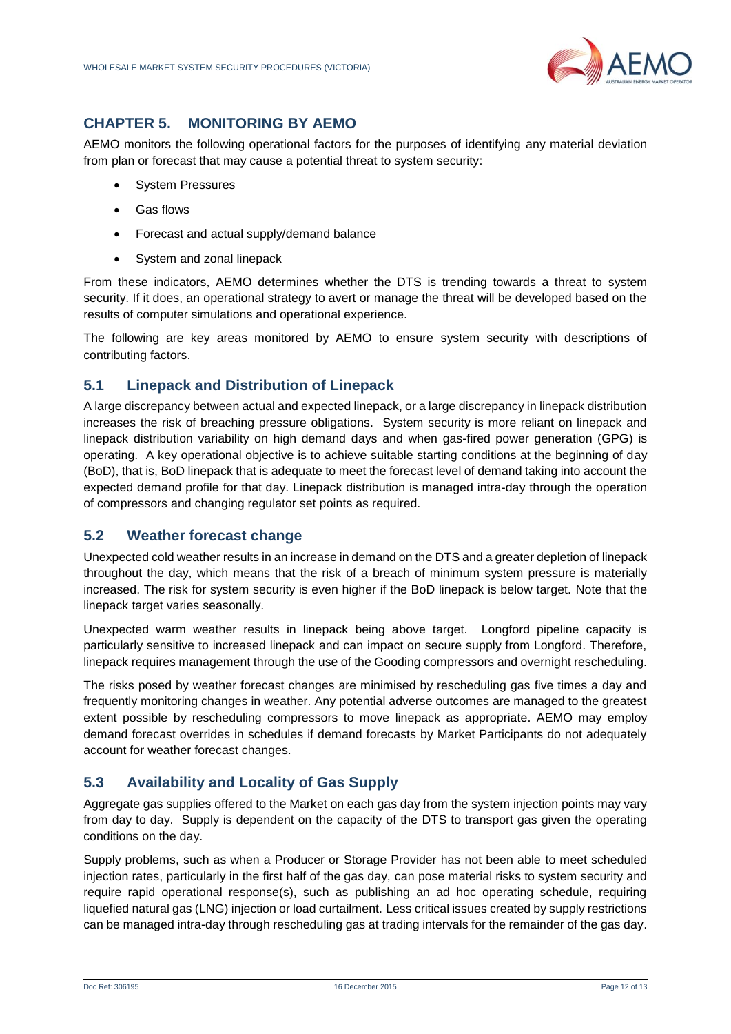

# **CHAPTER 5. MONITORING BY AEMO**

AEMO monitors the following operational factors for the purposes of identifying any material deviation from plan or forecast that may cause a potential threat to system security:

- System Pressures
- Gas flows
- Forecast and actual supply/demand balance
- System and zonal linepack

From these indicators, AEMO determines whether the DTS is trending towards a threat to system security. If it does, an operational strategy to avert or manage the threat will be developed based on the results of computer simulations and operational experience.

The following are key areas monitored by AEMO to ensure system security with descriptions of contributing factors.

### <span id="page-11-0"></span>**5.1 Linepack and Distribution of Linepack**

A large discrepancy between actual and expected linepack, or a large discrepancy in linepack distribution increases the risk of breaching pressure obligations. System security is more reliant on linepack and linepack distribution variability on high demand days and when gas-fired power generation (GPG) is operating. A key operational objective is to achieve suitable starting conditions at the beginning of day (BoD), that is, BoD linepack that is adequate to meet the forecast level of demand taking into account the expected demand profile for that day. Linepack distribution is managed intra-day through the operation of compressors and changing regulator set points as required.

#### <span id="page-11-1"></span>**5.2 Weather forecast change**

Unexpected cold weather results in an increase in demand on the DTS and a greater depletion of linepack throughout the day, which means that the risk of a breach of minimum system pressure is materially increased. The risk for system security is even higher if the BoD linepack is below target. Note that the linepack target varies seasonally.

Unexpected warm weather results in linepack being above target. Longford pipeline capacity is particularly sensitive to increased linepack and can impact on secure supply from Longford. Therefore, linepack requires management through the use of the Gooding compressors and overnight rescheduling.

The risks posed by weather forecast changes are minimised by rescheduling gas five times a day and frequently monitoring changes in weather. Any potential adverse outcomes are managed to the greatest extent possible by rescheduling compressors to move linepack as appropriate. AEMO may employ demand forecast overrides in schedules if demand forecasts by Market Participants do not adequately account for weather forecast changes.

# <span id="page-11-2"></span>**5.3 Availability and Locality of Gas Supply**

Aggregate gas supplies offered to the Market on each gas day from the system injection points may vary from day to day. Supply is dependent on the capacity of the DTS to transport gas given the operating conditions on the day.

Supply problems, such as when a Producer or Storage Provider has not been able to meet scheduled injection rates, particularly in the first half of the gas day, can pose material risks to system security and require rapid operational response(s), such as publishing an ad hoc operating schedule, requiring liquefied natural gas (LNG) injection or load curtailment. Less critical issues created by supply restrictions can be managed intra-day through rescheduling gas at trading intervals for the remainder of the gas day.